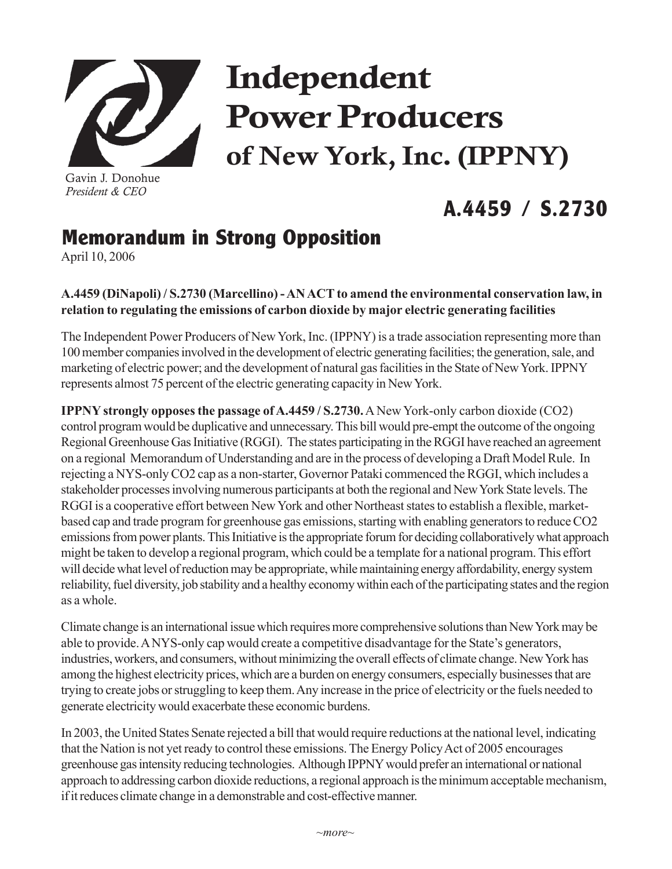

Gavin J. Donohue *President & CEO*

# Independent Power Producers of New York, Inc. (IPPNY)

## **A.4459 / S.2730**

### **Memorandum in Strong Opposition**

April 10, 2006

#### **A.4459 (DiNapoli) / S.2730 (Marcellino) - AN ACT to amend the environmental conservation law, in relation to regulating the emissions of carbon dioxide by major electric generating facilities**

The Independent Power Producers of New York, Inc. (IPPNY) is a trade association representing more than 100 member companies involved in the development of electric generating facilities; the generation, sale, and marketing of electric power; and the development of natural gas facilities in the State of New York. IPPNY represents almost 75 percent of the electric generating capacity in New York.

**IPPNY strongly opposes the passage of A.4459 / S.2730.** A New York-only carbon dioxide (CO2) control program would be duplicative and unnecessary. This bill would pre-empt the outcome of the ongoing Regional Greenhouse Gas Initiative (RGGI). The states participating in the RGGI have reached an agreement on a regional Memorandum of Understanding and are in the process of developing a Draft Model Rule. In rejecting a NYS-only CO2 cap as a non-starter, Governor Pataki commenced the RGGI, which includes a stakeholder processes involving numerous participants at both the regional and New York State levels. The RGGI is a cooperative effort between New York and other Northeast states to establish a flexible, marketbased cap and trade program for greenhouse gas emissions, starting with enabling generators to reduce CO2 emissions from power plants. This Initiative is the appropriate forum for deciding collaboratively what approach might be taken to develop a regional program, which could be a template for a national program. This effort will decide what level of reduction may be appropriate, while maintaining energy affordability, energy system reliability, fuel diversity, job stability and a healthy economy within each of the participating states and the region as a whole.

Climate change is an international issue which requires more comprehensive solutions than New York may be able to provide. A NYS-only cap would create a competitive disadvantage for the State's generators, industries, workers, and consumers, without minimizing the overall effects of climate change. New York has among the highest electricity prices, which are a burden on energy consumers, especially businesses that are trying to create jobs or struggling to keep them. Any increase in the price of electricity or the fuels needed to generate electricity would exacerbate these economic burdens.

In 2003, the United States Senate rejected a bill that would require reductions at the national level, indicating that the Nation is not yet ready to control these emissions. The Energy Policy Act of 2005 encourages greenhouse gas intensity reducing technologies. Although IPPNY would prefer an international or national approach to addressing carbon dioxide reductions, a regional approach is the minimum acceptable mechanism, if it reduces climate change in a demonstrable and cost-effective manner.